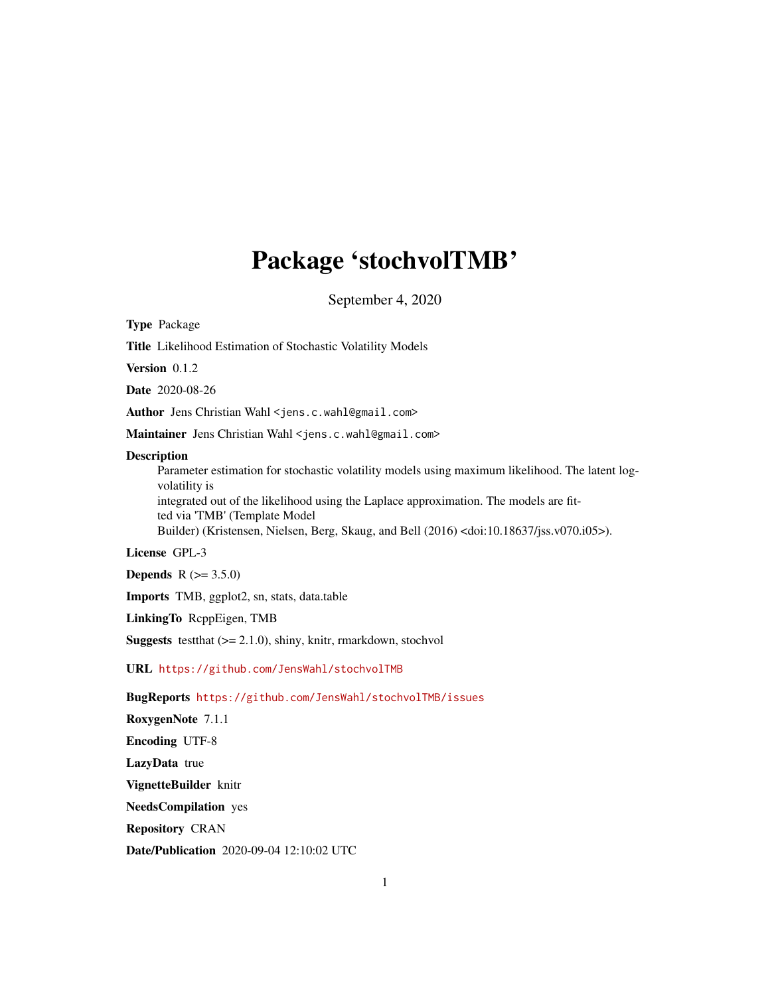# Package 'stochvolTMB'

September 4, 2020

<span id="page-0-0"></span>Type Package

Title Likelihood Estimation of Stochastic Volatility Models

Version 0.1.2

Date 2020-08-26

Author Jens Christian Wahl <jens.c.wahl@gmail.com>

Maintainer Jens Christian Wahl <jens.c.wahl@gmail.com>

#### **Description**

Parameter estimation for stochastic volatility models using maximum likelihood. The latent logvolatility is integrated out of the likelihood using the Laplace approximation. The models are fitted via 'TMB' (Template Model Builder) (Kristensen, Nielsen, Berg, Skaug, and Bell (2016) <doi:10.18637/jss.v070.i05>).

#### License GPL-3

**Depends** R  $(>= 3.5.0)$ 

Imports TMB, ggplot2, sn, stats, data.table

LinkingTo RcppEigen, TMB

**Suggests** testthat  $(>= 2.1.0)$ , shiny, knitr, rmarkdown, stochvol

URL <https://github.com/JensWahl/stochvolTMB>

BugReports <https://github.com/JensWahl/stochvolTMB/issues>

RoxygenNote 7.1.1

Encoding UTF-8

LazyData true

VignetteBuilder knitr

NeedsCompilation yes

Repository CRAN

Date/Publication 2020-09-04 12:10:02 UTC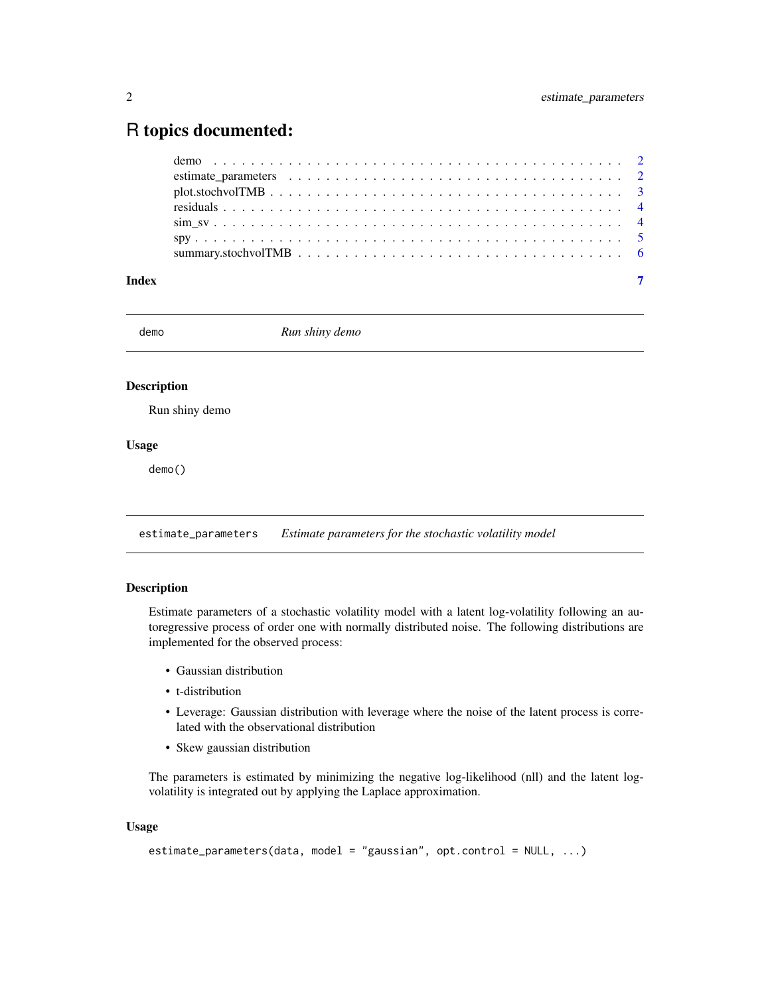## <span id="page-1-0"></span>R topics documented:

| Index | $\overline{7}$ |
|-------|----------------|

demo *Run shiny demo*

#### Description

Run shiny demo

#### Usage

demo()

<span id="page-1-1"></span>estimate\_parameters *Estimate parameters for the stochastic volatility model*

#### Description

Estimate parameters of a stochastic volatility model with a latent log-volatility following an autoregressive process of order one with normally distributed noise. The following distributions are implemented for the observed process:

- Gaussian distribution
- t-distribution
- Leverage: Gaussian distribution with leverage where the noise of the latent process is correlated with the observational distribution
- Skew gaussian distribution

The parameters is estimated by minimizing the negative log-likelihood (nll) and the latent logvolatility is integrated out by applying the Laplace approximation.

#### Usage

```
estimate_parameters(data, model = "gaussian", opt.control = NULL, ...)
```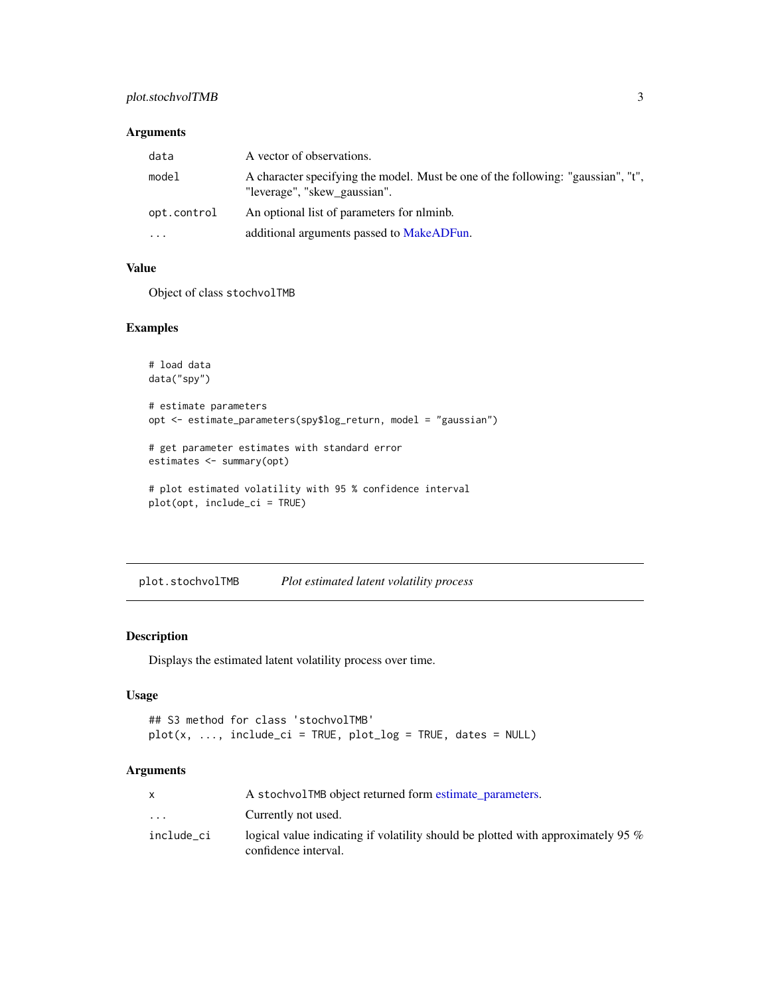#### <span id="page-2-0"></span>plot.stochvolTMB 3

#### Arguments

| data        | A vector of observations.                                                                                        |
|-------------|------------------------------------------------------------------------------------------------------------------|
| model       | A character specifying the model. Must be one of the following: "gaussian", "t",<br>"leverage", "skew gaussian". |
| opt.control | An optional list of parameters for niminb.                                                                       |
| $\cdots$    | additional arguments passed to MakeADFun.                                                                        |

#### Value

Object of class stochvolTMB

#### Examples

```
# load data
data("spy")
# estimate parameters
opt <- estimate_parameters(spy$log_return, model = "gaussian")
# get parameter estimates with standard error
estimates <- summary(opt)
# plot estimated volatility with 95 % confidence interval
plot(opt, include_ci = TRUE)
```
plot.stochvolTMB *Plot estimated latent volatility process*

#### Description

Displays the estimated latent volatility process over time.

#### Usage

```
## S3 method for class 'stochvolTMB'
plot(x, ..., include_ci = TRUE, plot_log = TRUE, dates = NULL)
```
#### Arguments

|                         | A stochvolTMB object returned form estimate parameters.                                                     |
|-------------------------|-------------------------------------------------------------------------------------------------------------|
| $\cdot$ $\cdot$ $\cdot$ | Currently not used.                                                                                         |
| include_ci              | logical value indicating if volatility should be plotted with approximately 95 $\%$<br>confidence interval. |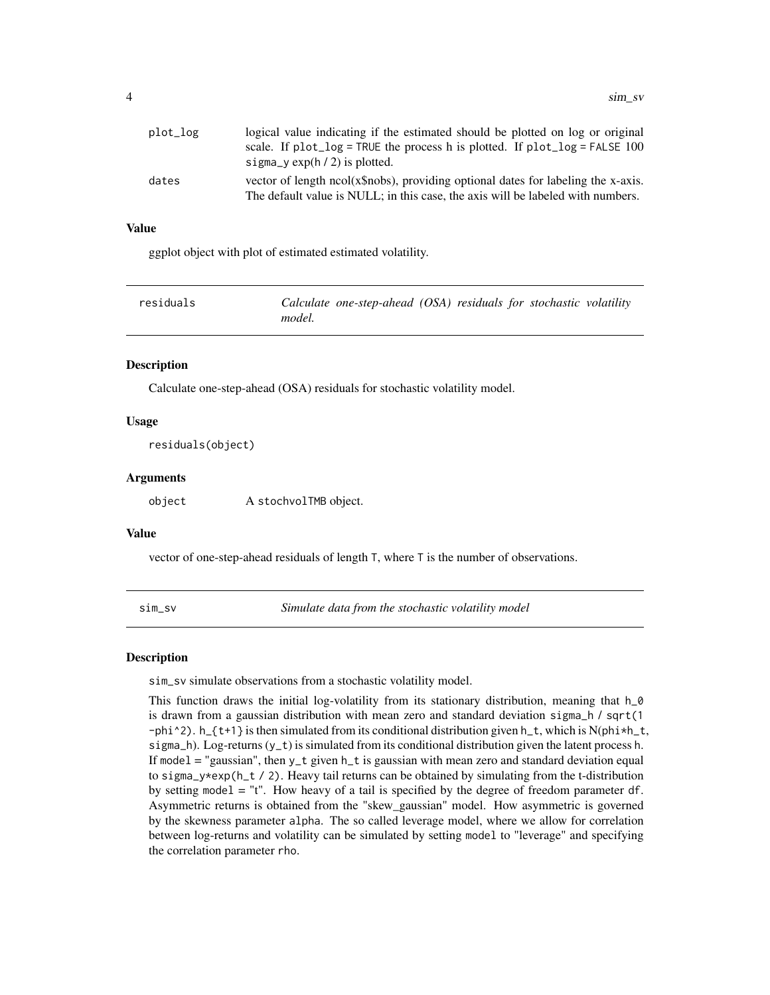<span id="page-3-0"></span>

| plot_log | logical value indicating if the estimated should be plotted on log or original                                                                                       |
|----------|----------------------------------------------------------------------------------------------------------------------------------------------------------------------|
|          | scale. If $plot\_log = TRUE$ the process h is plotted. If $plot\_log = FALSE$ 100                                                                                    |
|          | sigma_y $\exp(h/2)$ is plotted.                                                                                                                                      |
| dates    | vector of length ncol(x\$nobs), providing optional dates for labeling the x-axis.<br>The default value is NULL; in this case, the axis will be labeled with numbers. |

#### Value

ggplot object with plot of estimated estimated volatility.

| residuals | Calculate one-step-ahead (OSA) residuals for stochastic volatility |
|-----------|--------------------------------------------------------------------|
|           | model.                                                             |

#### **Description**

Calculate one-step-ahead (OSA) residuals for stochastic volatility model.

#### Usage

residuals(object)

#### Arguments

object A stochvolTMB object.

#### Value

vector of one-step-ahead residuals of length T, where T is the number of observations.

sim\_sv *Simulate data from the stochastic volatility model*

#### **Description**

sim\_sv simulate observations from a stochastic volatility model.

This function draws the initial log-volatility from its stationary distribution, meaning that  $h_0$ is drawn from a gaussian distribution with mean zero and standard deviation sigma\_h / sqrt(1 -phi^2). h\_{t+1} is then simulated from its conditional distribution given h\_t, which is N(phi\*h\_t, sigma\_h). Log-returns  $(y_t t)$  is simulated from its conditional distribution given the latent process h. If model = "gaussian", then y\_t given h\_t is gaussian with mean zero and standard deviation equal to sigma\_y\*exp(h\_t / 2). Heavy tail returns can be obtained by simulating from the t-distribution by setting model  $=$  "t". How heavy of a tail is specified by the degree of freedom parameter df. Asymmetric returns is obtained from the "skew\_gaussian" model. How asymmetric is governed by the skewness parameter alpha. The so called leverage model, where we allow for correlation between log-returns and volatility can be simulated by setting model to "leverage" and specifying the correlation parameter rho.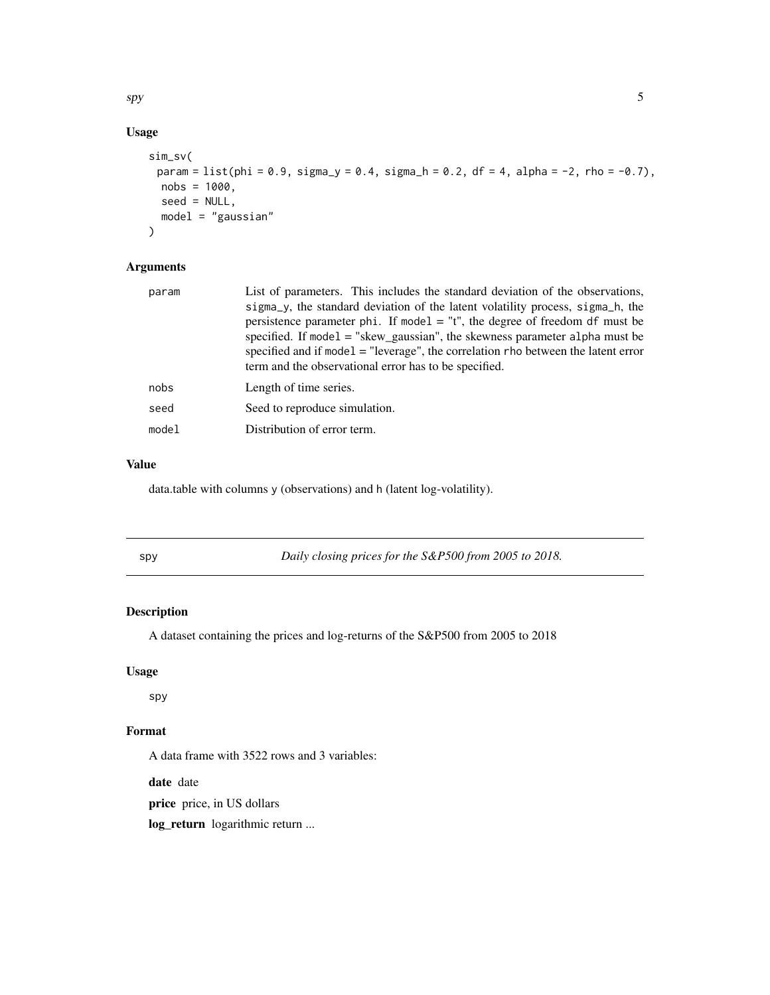<span id="page-4-0"></span> $s$ py 5

### Usage

```
sim_sv(
 param = list(phi = 0.9, sigma_y = 0.4, sigma_h = 0.2, df = 4, alpha = -2, rho = -0.7),nobs = 1000,seed = NULL,
 model = "gaussian"
)
```
#### Arguments

| param | List of parameters. This includes the standard deviation of the observations,<br>sigma y, the standard deviation of the latent volatility process, sigma h, the<br>persistence parameter phi. If model $=$ "t", the degree of freedom df must be<br>specified. If model $=$ "skew_gaussian", the skewness parameter alpha must be<br>specified and if model $=$ "leverage", the correlation rho between the latent error |
|-------|--------------------------------------------------------------------------------------------------------------------------------------------------------------------------------------------------------------------------------------------------------------------------------------------------------------------------------------------------------------------------------------------------------------------------|
|       | term and the observational error has to be specified.                                                                                                                                                                                                                                                                                                                                                                    |
| nobs  | Length of time series.                                                                                                                                                                                                                                                                                                                                                                                                   |
| seed  | Seed to reproduce simulation.                                                                                                                                                                                                                                                                                                                                                                                            |
| model | Distribution of error term.                                                                                                                                                                                                                                                                                                                                                                                              |
|       |                                                                                                                                                                                                                                                                                                                                                                                                                          |

#### Value

data.table with columns y (observations) and h (latent log-volatility).

| ×           |              |
|-------------|--------------|
| I<br>$\sim$ | I<br>×<br>۰. |

y *Daily closing prices for the S&P500 from 2005 to 2018.* 

#### Description

A dataset containing the prices and log-returns of the S&P500 from 2005 to 2018

#### Usage

spy

#### Format

A data frame with 3522 rows and 3 variables:

date date

price price, in US dollars

log\_return logarithmic return ...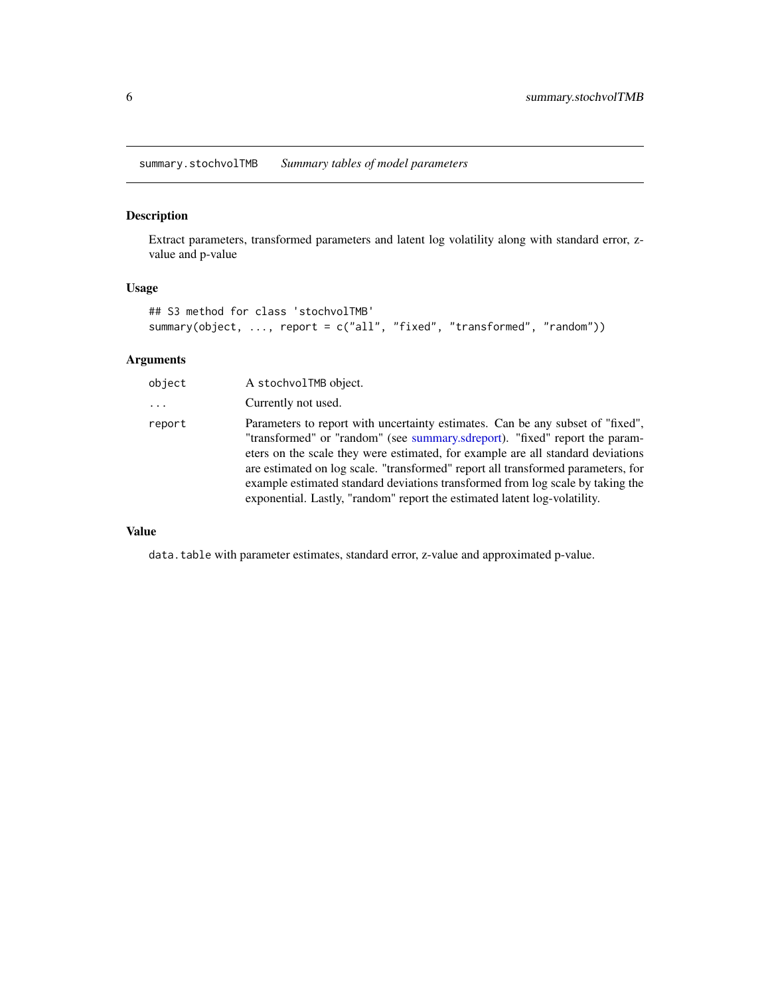<span id="page-5-0"></span>summary.stochvolTMB *Summary tables of model parameters*

#### Description

Extract parameters, transformed parameters and latent log volatility along with standard error, zvalue and p-value

#### Usage

```
## S3 method for class 'stochvolTMB'
summary(object, ..., report = c("all", "fixed", "transformed", "random"))
```
#### Arguments

| object | A stochvolTMB object.                                                                                                                                                                                                                                                                                                                                                                                                                                                                               |
|--------|-----------------------------------------------------------------------------------------------------------------------------------------------------------------------------------------------------------------------------------------------------------------------------------------------------------------------------------------------------------------------------------------------------------------------------------------------------------------------------------------------------|
| .      | Currently not used.                                                                                                                                                                                                                                                                                                                                                                                                                                                                                 |
| report | Parameters to report with uncertainty estimates. Can be any subset of "fixed",<br>"transformed" or "random" (see summary.sdreport). "fixed" report the param-<br>eters on the scale they were estimated, for example are all standard deviations<br>are estimated on log scale. "transformed" report all transformed parameters, for<br>example estimated standard deviations transformed from log scale by taking the<br>exponential. Lastly, "random" report the estimated latent log-volatility. |

#### Value

data.table with parameter estimates, standard error, z-value and approximated p-value.